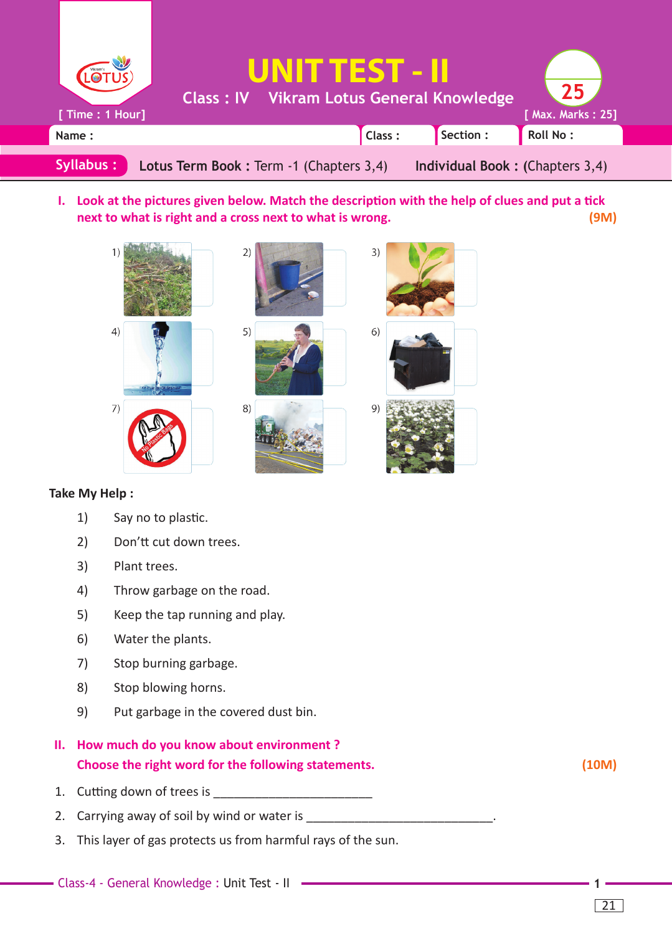

I. Look at the pictures given below. Match the description with the help of clues and put a tick **next to what is right and a cross next to what is wrong. (9M)**



## **Take My Help :**

- 1) Say no to plastic.
- 2) Don'tt cut down trees.
- 3) Plant trees.
- 4) Throw garbage on the road.
- 5) Keep the tap running and play.
- 6) Water the plants.
- 7) Stop burning garbage.
- 8) Stop blowing horns.
- 9) Put garbage in the covered dust bin.
- **II. How much do you know about environment ? Choose the right word for the following statements. (10M)**
- 1. Cutting down of trees is \_\_\_\_\_\_\_\_\_
- 2. Carrying away of soil by wind or water is \_\_\_\_\_\_\_\_\_\_\_\_\_\_\_\_\_\_\_\_\_\_\_\_\_\_\_.
- 3. This layer of gas protects us from harmful rays of the sun.